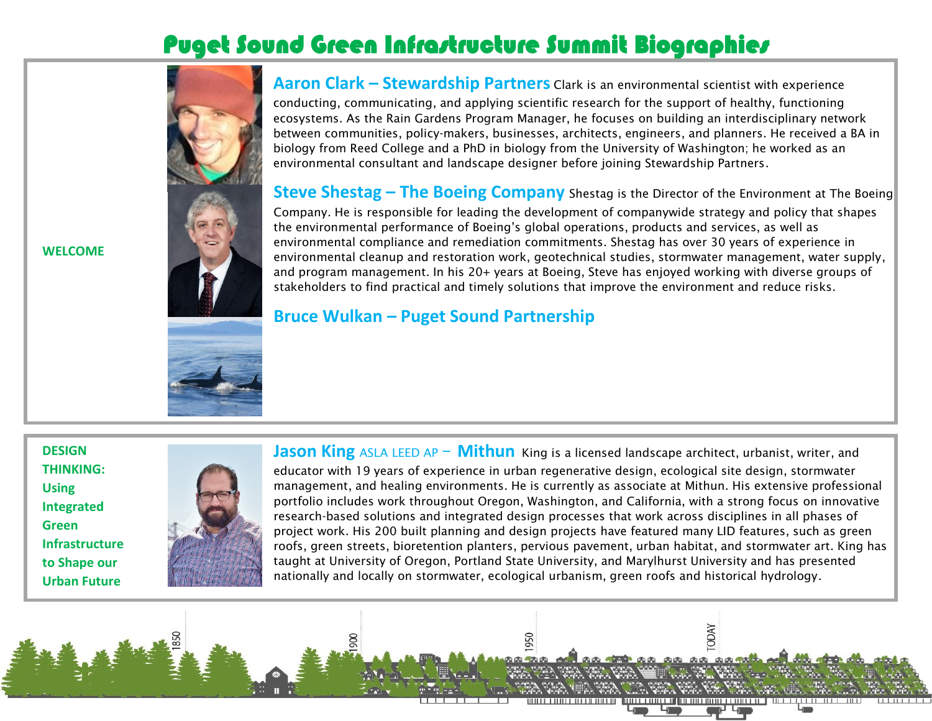# Puget Sound Green Infrastructure Summit Biographies





**Aaron Clark – Stewardship Partners** Clark is an environmental scientist with experience

conducting, communicating, and applying scientific research for the support of healthy, functioning ecosystems. As the Rain Gardens Program Manager, he focuses on building an interdisciplinary network between communities, policy-makers, businesses, architects, engineers, and planners. He received a BA in biology from Reed College and a PhD in biology from the University of Washington; he worked as an environmental consultant and landscape designer before joining Stewardship Partners.

**Steve Shestag – The Boeing Company** Shestag is the Director of the Environment at The Boeing Company. He is responsible for leading the development of companywide strategy and policy that shapes the environmental performance of Boeing's global operations, products and services, as well as environmental compliance and remediation commitments. Shestag has over 30 years of experience in environmental cleanup and restoration work, geotechnical studies, stormwater management, water supply, and program management. In his 20+ years at Boeing, Steve has enjoyed working with diverse groups of stakeholders to find practical and timely solutions that improve the environment and reduce risks.

### **Bruce Wulkan – Puget Sound Partnership**

මි

**DESIGN THINKING: Using Integrated Green Infrastructure to Shape our Urban Future**

**WELCOME**



**Jason King** ASLA LEED AP – **Mithun** King is a licensed landscape architect, urbanist, writer, and educator with 19 years of experience in urban regenerative design, ecological site design, stormwater management, and healing environments. He is currently as associate at Mithun. His extensive professional portfolio includes work throughout Oregon, Washington, and California, with a strong focus on innovative research-based solutions and integrated design processes that work across disciplines in all phases of project work. His 200 built planning and design projects have featured many LID features, such as green roofs, green streets, bioretention planters, pervious pavement, urban habitat, and stormwater art. King has taught at University of Oregon, Portland State University, and Marylhurst University and has presented nationally and locally on stormwater, ecological urbanism, green roofs and historical hydrology.

TODAY

**BRADE BRADE**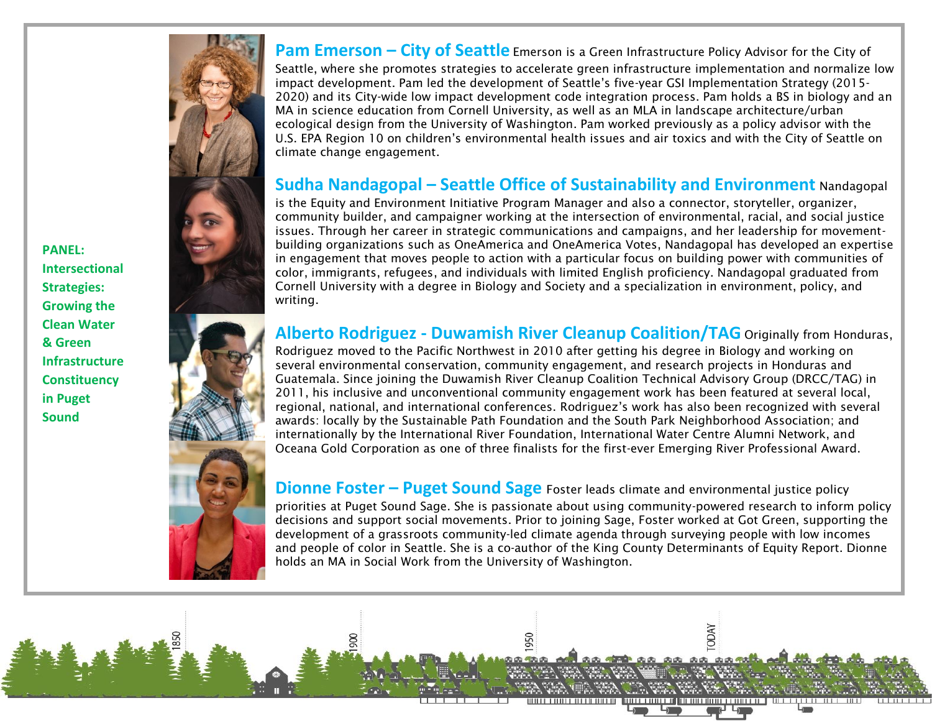**PANEL: Intersectional Strategies: Growing the Clean Water & Green Infrastructure Constituency in Puget Sound**



8

**Pam Emerson – City of Seattle** Emerson is a Green Infrastructure Policy Advisor for the City of

Seattle, where she promotes strategies to accelerate green infrastructure implementation and normalize low impact development. Pam led the development of Seattle's five-year GSI Implementation Strategy (2015- 2020) and its City-wide low impact development code integration process. Pam holds a BS in biology and an MA in science education from Cornell University, as well as an MLA in landscape architecture/urban ecological design from the University of Washington. Pam worked previously as a policy advisor with the U.S. EPA Region 10 on children's environmental health issues and air toxics and with the City of Seattle on climate change engagement.

#### **Sudha Nandagopal – Seattle Office of Sustainability and Environment** Nandagopal

is the Equity and Environment Initiative Program Manager and also a connector, storyteller, organizer, community builder, and campaigner working at the intersection of environmental, racial, and social justice issues. Through her career in strategic communications and campaigns, and her leadership for movementbuilding organizations such as OneAmerica and OneAmerica Votes, Nandagopal has developed an expertise in engagement that moves people to action with a particular focus on building power with communities of color, immigrants, refugees, and individuals with limited English proficiency. Nandagopal graduated from Cornell University with a degree in Biology and Society and a specialization in environment, policy, and writing.

#### **Alberto Rodriguez - Duwamish River Cleanup Coalition/TAG** Originally from Honduras,

Rodriguez moved to the Pacific Northwest in 2010 after getting his degree in Biology and working on several environmental conservation, community engagement, and research projects in Honduras and Guatemala. Since joining the Duwamish River Cleanup Coalition Technical Advisory Group (DRCC/TAG) in 2011, his inclusive and unconventional community engagement work has been featured at several local, regional, national, and international conferences. Rodriguez's work has also been recognized with several awards: locally by the Sustainable Path Foundation and the South Park Neighborhood Association; and internationally by the International River Foundation, International Water Centre Alumni Network, and Oceana Gold Corporation as one of three finalists for the first-ever Emerging River Professional Award.

**Dionne Foster – Puget Sound Sage** Foster leads climate and environmental justice policy

priorities at Puget Sound Sage. She is passionate about using community-powered research to inform policy decisions and support social movements. Prior to joining Sage, Foster worked at Got Green, supporting the development of a grassroots community-led climate agenda through surveying people with low incomes and people of color in Seattle. She is a co-author of the King County Determinants of Equity Report. Dionne holds an MA in Social Work from the University of Washington.

**LODAY** 

**AA AA AA**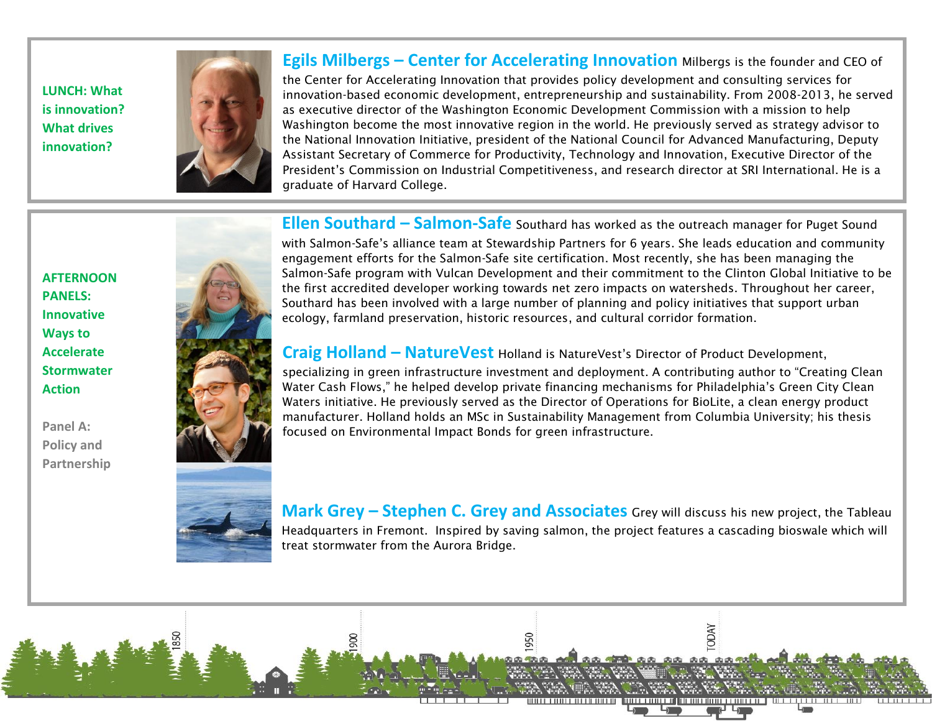**LUNCH: What is innovation? What drives innovation?**



**Egils Milbergs – Center for Accelerating Innovation** Milbergs is the founder and CEO of

the Center for Accelerating Innovation that provides policy development and consulting services for innovation-based economic development, entrepreneurship and sustainability. From 2008-2013, he served as executive director of the Washington Economic Development Commission with a mission to help Washington become the most innovative region in the world. He previously served as strategy advisor to the National Innovation Initiative, president of the National Council for Advanced Manufacturing, Deputy Assistant Secretary of Commerce for Productivity, Technology and Innovation, Executive Director of the President's Commission on Industrial Competitiveness, and research director at SRI International. He is a graduate of Harvard College.

**Ellen Southard – Salmon-Safe** Southard has worked as the outreach manager for Puget Sound

**AFTERNOON PANELS: Innovative Ways to Accelerate Stormwater Action**

**Panel A: Policy and Partnership**



with Salmon-Safe's alliance team at Stewardship Partners for 6 years. She leads education and community engagement efforts for the Salmon-Safe site certification. Most recently, she has been managing the Salmon-Safe program with Vulcan Development and their commitment to the Clinton Global Initiative to be the first accredited developer working towards net zero impacts on watersheds. Throughout her career, Southard has been involved with a large number of planning and policy initiatives that support urban ecology, farmland preservation, historic resources, and cultural corridor formation.

**Craig Holland – NatureVest** Holland is NatureVest's Director of Product Development,

specializing in green infrastructure investment and deployment. A contributing author to "Creating Clean Water Cash Flows," he helped develop private financing mechanisms for Philadelphia's Green City Clean Waters initiative. He previously served as the Director of Operations for BioLite, a clean energy product manufacturer. Holland holds an MSc in Sustainability Management from Columbia University; his thesis focused on Environmental Impact Bonds for green infrastructure.

**Mark Grey – Stephen C. Grey and Associates** Grey will discuss his new project, the Tableau Headquarters in Fremont. Inspired by saving salmon, the project features a cascading bioswale which will treat stormwater from the Aurora Bridge.

**TODAY** 

**AA AA AA**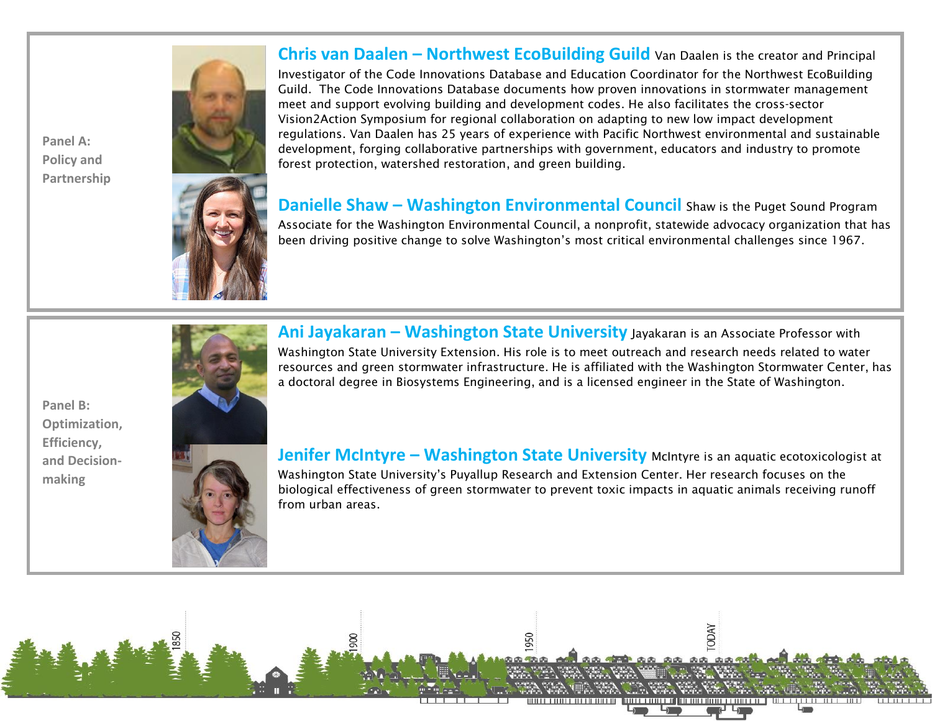**Panel A: Policy and Partnership**



**Chris van Daalen – Northwest EcoBuilding Guild** Van Daalen is the creator and Principal

Investigator of the Code Innovations Database and Education Coordinator for the Northwest EcoBuilding Guild. The Code Innovations Database documents how proven innovations in stormwater management meet and support evolving building and development codes. He also facilitates the cross-sector Vision2Action Symposium for regional collaboration on adapting to new low impact development regulations. Van Daalen has 25 years of experience with Pacific Northwest environmental and sustainable development, forging collaborative partnerships with government, educators and industry to promote forest protection, watershed restoration, and green building.

**Danielle Shaw – Washington Environmental Council** Shaw is the Puget Sound Program Associate for the Washington Environmental Council, a nonprofit, statewide advocacy organization that has been driving positive change to solve Washington's most critical environmental challenges since 1967.

**Panel B: Optimization, Efficiency, and Decisionmaking**



**Ani Jayakaran – Washington State University** Jayakaran is an Associate Professor with Washington State University Extension. His role is to meet outreach and research needs related to water resources and green stormwater infrastructure. He is affiliated with the Washington Stormwater Center, has a doctoral degree in Biosystems Engineering, and is a licensed engineer in the State of Washington.

**Jenifer McIntyre – Washington State University** McIntyre is an aquatic ecotoxicologist at Washington State University's Puyallup Research and Extension Center. Her research focuses on the biological effectiveness of green stormwater to prevent toxic impacts in aquatic animals receiving runoff from urban areas.

**TODAY** 

**AA AA AA**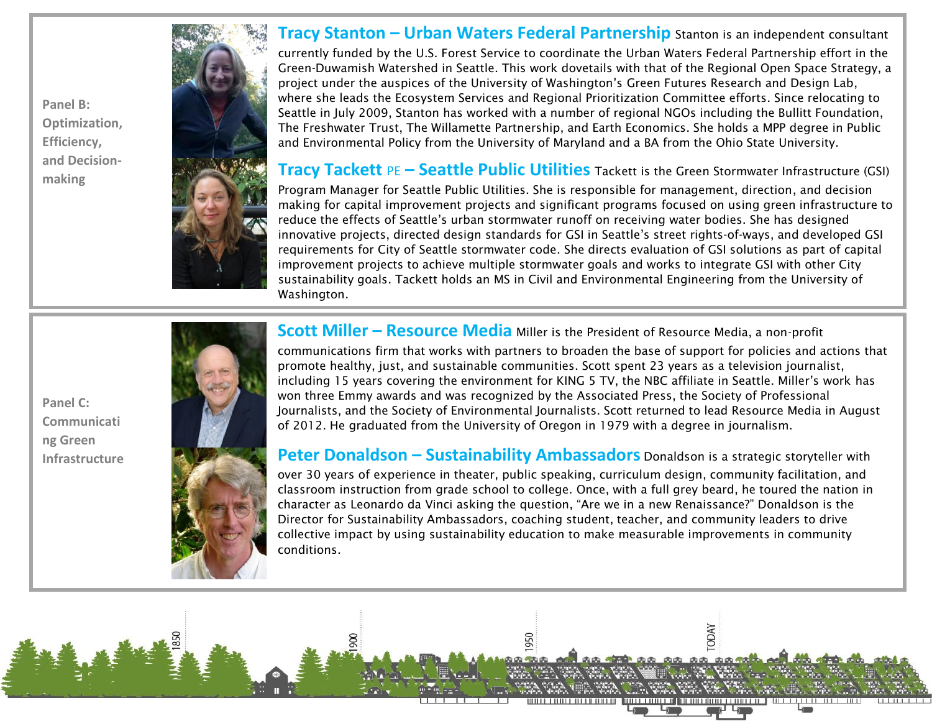**Panel B: Optimization, Efficiency, and Decisionmaking**

**Panel C:** 

**ng Green Infrastructure**

**Communicati**



#### **Tracy Stanton – Urban Waters Federal Partnership** Stanton is an independent consultant

currently funded by the U.S. Forest Service to coordinate the Urban Waters Federal Partnership effort in the Green-Duwamish Watershed in Seattle. This work dovetails with that of the Regional Open Space Strategy, a project under the auspices of the University of Washington's Green Futures Research and Design Lab, where she leads the Ecosystem Services and Regional Prioritization Committee efforts. Since relocating to Seattle in July 2009, Stanton has worked with a number of regional NGOs including the Bullitt Foundation, The Freshwater Trust, The Willamette Partnership, and Earth Economics. She holds a MPP degree in Public and Environmental Policy from the University of Maryland and a BA from the Ohio State University.

**Tracy Tackett** PE **– Seattle Public Utilities** Tackett is the Green Stormwater Infrastructure (GSI)

Program Manager for Seattle Public Utilities. She is responsible for management, direction, and decision making for capital improvement projects and significant programs focused on using green infrastructure to reduce the effects of Seattle's urban stormwater runoff on receiving water bodies. She has designed innovative projects, directed design standards for GSI in Seattle's street rights-of-ways, and developed GSI requirements for City of Seattle stormwater code. She directs evaluation of GSI solutions as part of capital improvement projects to achieve multiple stormwater goals and works to integrate GSI with other City sustainability goals. Tackett holds an MS in Civil and Environmental Engineering from the University of Washington.

**Scott Miller – Resource Media** Miller is the President of Resource Media, a non-profit

communications firm that works with partners to broaden the base of support for policies and actions that promote healthy, just, and sustainable communities. Scott spent 23 years as a television journalist, including 15 years covering the environment for KING 5 TV, the NBC affiliate in Seattle. Miller's work has won three Emmy awards and was recognized by the Associated Press, the Society of Professional Journalists, and the Society of Environmental Journalists. Scott returned to lead Resource Media in August of 2012. He graduated from the University of Oregon in 1979 with a degree in journalism.

**Peter Donaldson – Sustainability Ambassadors** Donaldson is a strategic storyteller with over 30 years of experience in theater, public speaking, curriculum design, community facilitation, and classroom instruction from grade school to college. Once, with a full grey beard, he toured the nation in character as Leonardo da Vinci asking the question, "Are we in a new Renaissance?" Donaldson is the Director for Sustainability Ambassadors, coaching student, teacher, and community leaders to drive collective impact by using sustainability education to make measurable improvements in community conditions.

**TODAY** 

**AA AA AA** 

මි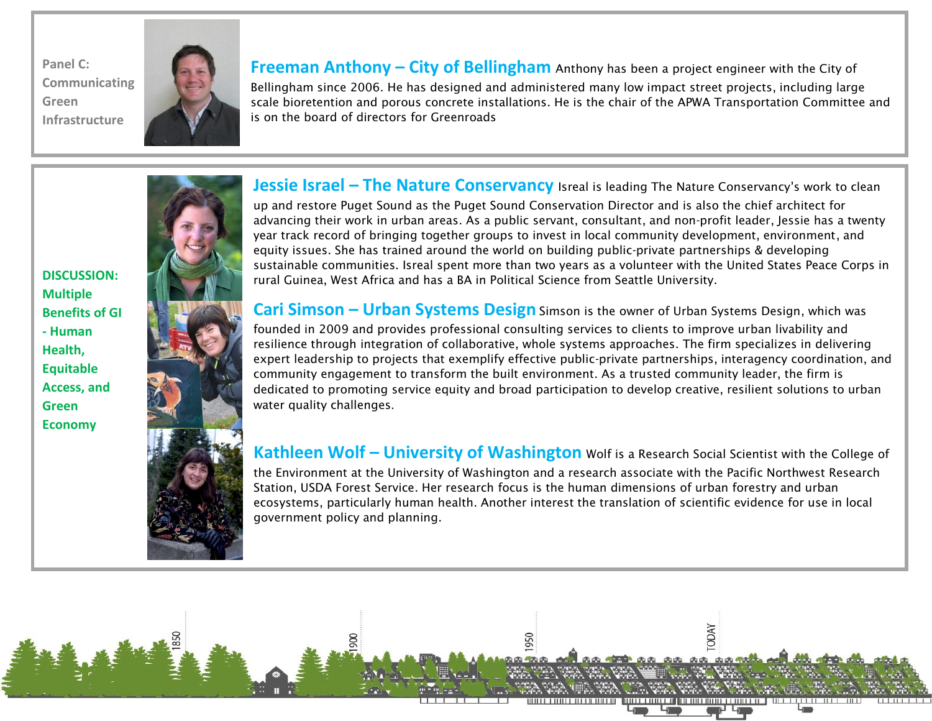**Panel C: Communicating Green Infrastructure**



**Freeman Anthony – City of Bellingham** Anthony has been a project engineer with the City of

Bellingham since 2006. He has designed and administered many low impact street projects, including large scale bioretention and porous concrete installations. He is the chair of the APWA Transportation Committee and is on the board of directors for Greenroads

**Jessie Israel - The Nature Conservancy** Isreal is leading The Nature Conservancy's work to clean up and restore Puget Sound as the Puget Sound Conservation Director and is also the chief architect for advancing their work in urban areas. As a public servant, consultant, and non-profit leader, Jessie has a twenty year track record of bringing together groups to invest in local community development, environment, and equity issues. She has trained around the world on building public-private partnerships & developing sustainable communities. Isreal spent more than two years as a volunteer with the United States Peace Corps in rural Guinea, West Africa and has a BA in Political Science from Seattle University.

**Cari Simson – Urban Systems Design** Simson is the owner of Urban Systems Design, which was founded in 2009 and provides professional consulting services to clients to improve urban livability and resilience through integration of collaborative, whole systems approaches. The firm specializes in delivering expert leadership to projects that exemplify effective public-private partnerships, interagency coordination, and community engagement to transform the built environment. As a trusted community leader, the firm is dedicated to promoting service equity and broad participation to develop creative, resilient solutions to urban water quality challenges.

**Kathleen Wolf – University of Washington** Wolf is a Research Social Scientist with the College of the Environment at the University of Washington and a research associate with the Pacific Northwest Research Station, USDA Forest Service. Her research focus is the human dimensions of urban forestry and urban ecosystems, particularly human health. Another interest the translation of scientific evidence for use in local government policy and planning.

TODAY

. . . . . .

**DISCUSSION: Multiple Benefits of GI - Human Health, Equitable Access, and Green Economy**